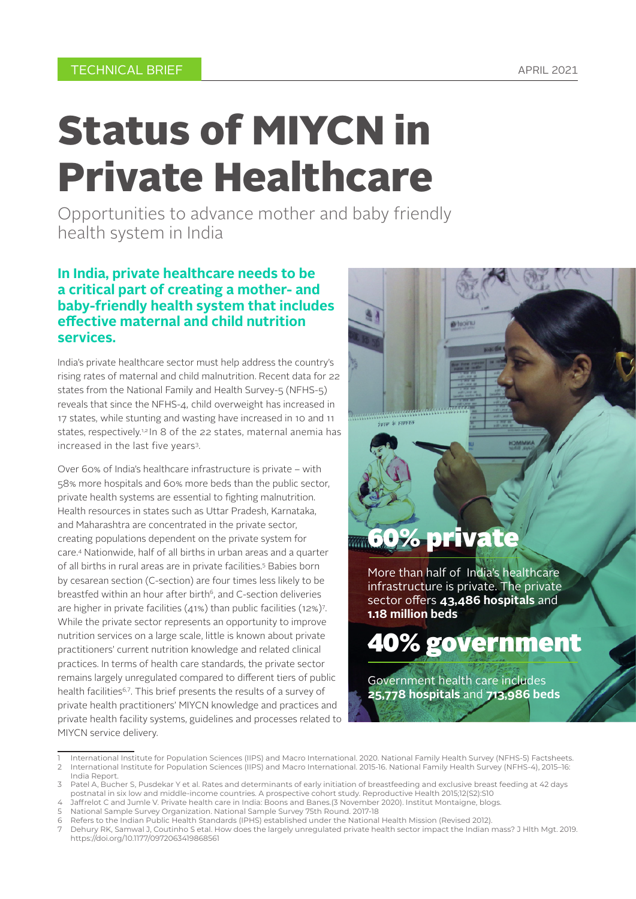# Status of MIYCN in Private Healthcare

Opportunities to advance mother and baby friendly health system in India

### **In India, private healthcare needs to be a critical part of creating a mother- and baby-friendly health system that includes effective maternal and child nutrition services.**

India's private healthcare sector must help address the country's rising rates of maternal and child malnutrition. Recent data for 22 states from the National Family and Health Survey-5 (NFHS-5) reveals that since the NFHS-4, child overweight has increased in 17 states, while stunting and wasting have increased in 10 and 11 states, respectively.<sup>1,2</sup> In 8 of the 22 states, maternal anemia has increased in the last five years3.

Over 60% of India's healthcare infrastructure is private – with 58% more hospitals and 60% more beds than the public sector, private health systems are essential to fighting malnutrition. Health resources in states such as Uttar Pradesh, Karnataka, and Maharashtra are concentrated in the private sector, creating populations dependent on the private system for care.4 Nationwide, half of all births in urban areas and a quarter of all births in rural areas are in private facilities.5 Babies born by cesarean section (C-section) are four times less likely to be breastfed within an hour after birth<sup>6</sup>, and C-section deliveries are higher in private facilities (41%) than public facilities (12%)7 . While the private sector represents an opportunity to improve nutrition services on a large scale, little is known about private practitioners' current nutrition knowledge and related clinical practices. In terms of health care standards, the private sector remains largely unregulated compared to different tiers of public health facilities<sup>6,7</sup>. This brief presents the results of a survey of private health practitioners' MIYCN knowledge and practices and private health facility systems, guidelines and processes related to MIYCN service delivery.

# रतनपान के फायदे 60% private

More than half of India's healthcare infrastructure is private. The private sector offers **43,486 hospitals** and **1.18 million beds**

40% government

Government health care includes **25,778 hospitals** and **713,986 beds**

- 4 Jaffrelot C and Jumle V. Private health care in India: Boons and Banes.(3 November 2020). Institut Montaigne, blogs.<br>5 National Sample Survey Organization, National Sample Survey 75th Pound, 2017-18.
- 5 National Sample Survey Organization. National Sample Survey 75th Round. 2017-18
- 6 Refers to the Indian Public Health Standards (IPHS) established under the National Health Mission (Revised 2012).
- 7 Dehury RK, Samwal J, Coutinho S etal. How does the largely unregulated private health sector impact the Indian mass? J Hlth Mgt. 2019. https://doi.org/10.1177/0972063419868561

<sup>1</sup> International Institute for Population Sciences (IIPS) and Macro International. 2020. National Family Health Survey (NFHS-5) Factsheets. 2 International Institute for Population Sciences (IIPS) and Macro International. 2015-16. National Family Health Survey (NFHS-4), 2015–16: India Report.

Patel A, Bucher S, Pusdekar Y et al. Rates and determinants of early initiation of breastfeeding and exclusive breast feeding at 42 days postnatal in six low and middle-income countries. A prospective cohort study. Reproductive Health 2015;12(S2):S10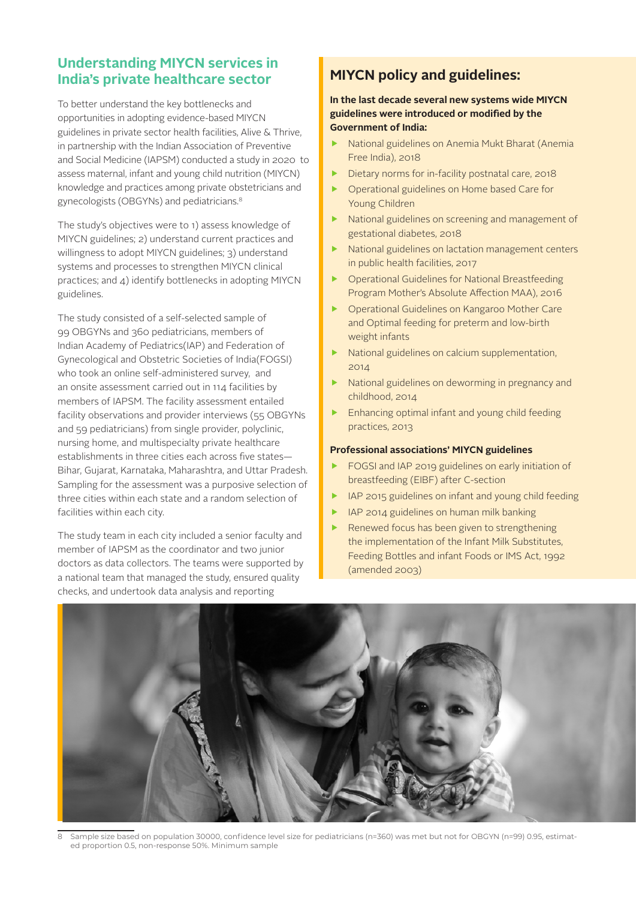## **Understanding MIYCN services in India's private healthcare sector**

To better understand the key bottlenecks and opportunities in adopting evidence-based MIYCN guidelines in private sector health facilities, Alive & Thrive, in partnership with the Indian Association of Preventive and Social Medicine (IAPSM) conducted a study in 2020 to assess maternal, infant and young child nutrition (MIYCN) knowledge and practices among private obstetricians and gynecologists (OBGYNs) and pediatricians.8

The study's objectives were to 1) assess knowledge of MIYCN guidelines; 2) understand current practices and willingness to adopt MIYCN guidelines; 3) understand systems and processes to strengthen MIYCN clinical practices; and 4) identify bottlenecks in adopting MIYCN guidelines.

The study consisted of a self-selected sample of 99 OBGYNs and 360 pediatricians, members of Indian Academy of Pediatrics(IAP) and Federation of Gynecological and Obstetric Societies of India(FOGSI) who took an online self-administered survey, and an onsite assessment carried out in 114 facilities by members of IAPSM. The facility assessment entailed facility observations and provider interviews (55 OBGYNs and 59 pediatricians) from single provider, polyclinic, nursing home, and multispecialty private healthcare establishments in three cities each across five states— Bihar, Gujarat, Karnataka, Maharashtra, and Uttar Pradesh. Sampling for the assessment was a purposive selection of three cities within each state and a random selection of facilities within each city.

The study team in each city included a senior faculty and member of IAPSM as the coordinator and two junior doctors as data collectors. The teams were supported by a national team that managed the study, ensured quality checks, and undertook data analysis and reporting

# **MIYCN policy and guidelines:**

#### **In the last decade several new systems wide MIYCN guidelines were introduced or modified by the Government of India:**

- National guidelines on Anemia Mukt Bharat (Anemia Free India), 2018
- Dietary norms for in-facility postnatal care, 2018
- f Operational guidelines on Home based Care for Young Children
- $\blacktriangleright$  National guidelines on screening and management of gestational diabetes, 2018
- National guidelines on lactation management centers in public health facilities, 2017
- f Operational Guidelines for National Breastfeeding Program Mother's Absolute Affection MAA), 2016
- f Operational Guidelines on Kangaroo Mother Care and Optimal feeding for preterm and low-birth weight infants
- National guidelines on calcium supplementation, 2014
- National guidelines on deworming in pregnancy and childhood, 2014
- Enhancing optimal infant and young child feeding practices, 2013

#### **Professional associations' MIYCN guidelines**

- f FOGSI and IAP 2019 guidelines on early initiation of breastfeeding (EIBF) after C-section
- IAP 2015 guidelines on infant and young child feeding
- f IAP 2014 guidelines on human milk banking
- Renewed focus has been given to strengthening the implementation of the Infant Milk Substitutes, Feeding Bottles and infant Foods or IMS Act, 1992 (amended 2003)



8 Sample size based on population 30000, confidence level size for pediatricians (n=360) was met but not for OBGYN (n=99) 0.95, estimated proportion 0.5, non-response 50%. Minimum sample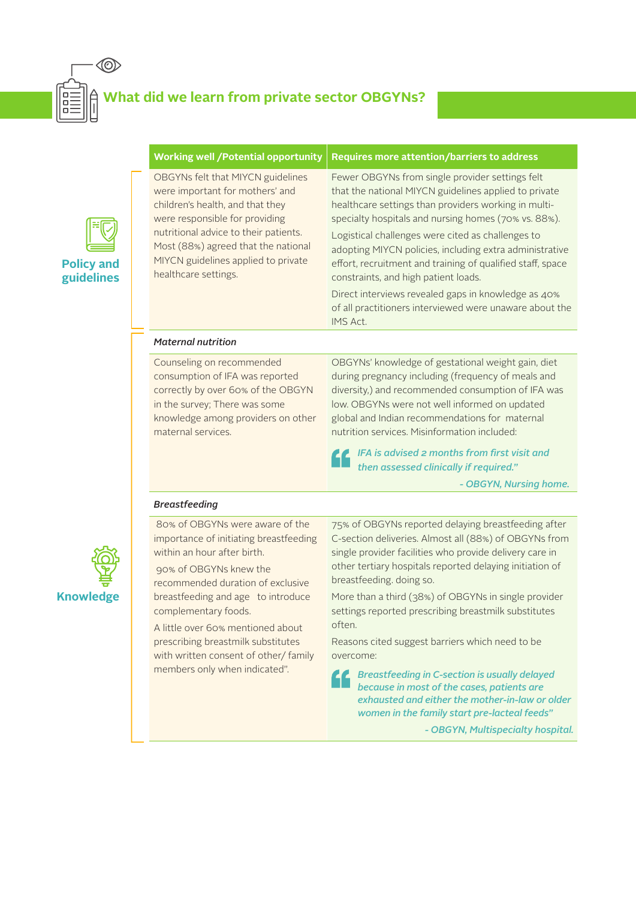

# **What did we learn from private sector OBGYNs?**



| <b>Working well / Potential opportunity</b>                                                                                                                                                                                                                                               | <b>Requires more attention/barriers to address</b>                                                                                                                                                                                                                                                                                                                                                                                                                                                                                                                           |
|-------------------------------------------------------------------------------------------------------------------------------------------------------------------------------------------------------------------------------------------------------------------------------------------|------------------------------------------------------------------------------------------------------------------------------------------------------------------------------------------------------------------------------------------------------------------------------------------------------------------------------------------------------------------------------------------------------------------------------------------------------------------------------------------------------------------------------------------------------------------------------|
| OBGYNs felt that MIYCN guidelines<br>were important for mothers' and<br>children's health, and that they<br>were responsible for providing<br>nutritional advice to their patients.<br>Most (88%) agreed that the national<br>MIYCN guidelines applied to private<br>healthcare settings. | Fewer OBGYNs from single provider settings felt<br>that the national MIYCN guidelines applied to private<br>healthcare settings than providers working in multi-<br>specialty hospitals and nursing homes (70% vs. 88%).<br>Logistical challenges were cited as challenges to<br>adopting MIYCN policies, including extra administrative<br>effort, recruitment and training of qualified staff, space<br>constraints, and high patient loads.<br>Direct interviews revealed gaps in knowledge as 40%<br>of all practitioners interviewed were unaware about the<br>IMS Act. |
| <b>Maternal nutrition</b>                                                                                                                                                                                                                                                                 |                                                                                                                                                                                                                                                                                                                                                                                                                                                                                                                                                                              |
| Counseling on recommended<br>consumption of IFA was reported<br>correctly by over 60% of the OBGYN<br>in the survey; There was some<br>knowledge among providers on other<br>maternal services.                                                                                           | OBGYNs' knowledge of gestational weight gain, diet<br>during pregnancy including (frequency of meals and<br>diversity,) and recommended consumption of IFA was<br>low. OBGYNs were not well informed on updated<br>global and Indian recommendations for maternal<br>nutrition services. Misinformation included:<br>IFA is advised 2 months from first visit and<br>then assessed clinically if required."                                                                                                                                                                  |
|                                                                                                                                                                                                                                                                                           | - OBGYN, Nursing home.                                                                                                                                                                                                                                                                                                                                                                                                                                                                                                                                                       |
| <b>Breastfeeding</b>                                                                                                                                                                                                                                                                      |                                                                                                                                                                                                                                                                                                                                                                                                                                                                                                                                                                              |
| 80% of OBGYNs were aware of the<br>importance of initiating breastfeeding<br>within an hour after birth.<br>90% of OBGYNs knew the<br>recommended duration of exclusive<br>breastfeeding and age to introduce<br>complementary foods.<br>A little over 60% mentioned about                | 75% of OBGYNs reported delaying breastfeeding after<br>C-section deliveries. Almost all (88%) of OBGYNs from<br>single provider facilities who provide delivery care in<br>other tertiary hospitals reported delaying initiation of<br>breastfeeding. doing so.<br>More than a third (38%) of OBGYNs in single provider<br>settings reported prescribing breastmilk substitutes<br>often.                                                                                                                                                                                    |
| prescribing breastmilk substitutes                                                                                                                                                                                                                                                        | Reasons cited suppost harriers which need to be                                                                                                                                                                                                                                                                                                                                                                                                                                                                                                                              |

ζ

prescribing breastmilk substitutes with written consent of other/ family members only when indicated".

Reasons cited suggest barriers which need to be overcome:

*Breastfeeding in C-section is usually delayed because in most of the cases, patients are exhausted and either the mother-in-law or older women in the family start pre-lacteal feeds"*

*- OBGYN, Multispecialty hospital.*

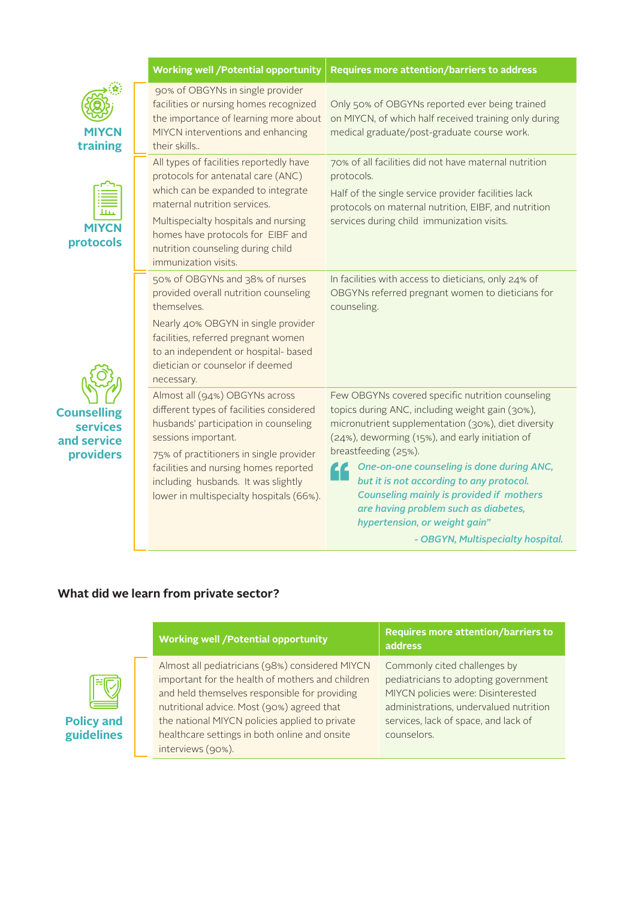|                                                                   | <b>Working well / Potential opportunity</b>                                                                                                                                                                                                                                                                       | Requires more attention/barriers to address                                                                                                                                                                                                                                                                                                                                                                                                                |
|-------------------------------------------------------------------|-------------------------------------------------------------------------------------------------------------------------------------------------------------------------------------------------------------------------------------------------------------------------------------------------------------------|------------------------------------------------------------------------------------------------------------------------------------------------------------------------------------------------------------------------------------------------------------------------------------------------------------------------------------------------------------------------------------------------------------------------------------------------------------|
| MIYCN<br>training                                                 | 90% of OBGYNs in single provider<br>facilities or nursing homes recognized<br>the importance of learning more about<br>MIYCN interventions and enhancing<br>their skills                                                                                                                                          | Only 50% of OBGYNs reported ever being trained<br>on MIYCN, of which half received training only during<br>medical graduate/post-graduate course work.                                                                                                                                                                                                                                                                                                     |
| <b>MIYCN</b><br>protocols                                         | All types of facilities reportedly have<br>protocols for antenatal care (ANC)<br>which can be expanded to integrate<br>maternal nutrition services.<br>Multispecialty hospitals and nursing<br>homes have protocols for EIBF and<br>nutrition counseling during child<br>immunization visits.                     | 70% of all facilities did not have maternal nutrition<br>protocols.<br>Half of the single service provider facilities lack<br>protocols on maternal nutrition, EIBF, and nutrition<br>services during child immunization visits.                                                                                                                                                                                                                           |
|                                                                   | 50% of OBGYNs and 38% of nurses<br>provided overall nutrition counseling<br>themselves.<br>Nearly 40% OBGYN in single provider<br>facilities, referred pregnant women<br>to an independent or hospital- based<br>dietician or counselor if deemed<br>necessary.                                                   | In facilities with access to dieticians, only 24% of<br>OBGYNs referred pregnant women to dieticians for<br>counseling.                                                                                                                                                                                                                                                                                                                                    |
| <b>Counselling</b><br><b>services</b><br>and service<br>providers | Almost all (94%) OBGYNs across<br>different types of facilities considered<br>husbands' participation in counseling<br>sessions important.<br>75% of practitioners in single provider<br>facilities and nursing homes reported<br>including husbands. It was slightly<br>lower in multispecialty hospitals (66%). | Few OBGYNs covered specific nutrition counseling<br>topics during ANC, including weight gain (30%),<br>micronutrient supplementation (30%), diet diversity<br>(24%), deworming (15%), and early initiation of<br>breastfeeding (25%).<br>One-on-one counseling is done during ANC,<br>but it is not according to any protocol.<br><b>Counseling mainly is provided if mothers</b><br>are having problem such as diabetes,<br>hypertension, or weight gain" |

# **What did we learn from private sector?**

#### **Policy and guidelines**

| Almost all pediatricians (98%) considered MIYCN<br>important for the health of mothers and children<br>and held themselves responsible for providing<br>nutritional advice. Most (90%) agreed that<br>the national MIYCN policies applied to private<br>healthcare settings in both online and onsite<br>counselors.<br>interviews (90%). | Commonly cited challenges by<br>pediatricians to adopting government<br>MIYCN policies were: Disinterested<br>administrations, undervalued nutrition<br>services, lack of space, and lack of |
|-------------------------------------------------------------------------------------------------------------------------------------------------------------------------------------------------------------------------------------------------------------------------------------------------------------------------------------------|----------------------------------------------------------------------------------------------------------------------------------------------------------------------------------------------|

*- OBGYN, Multispecialty hospital.*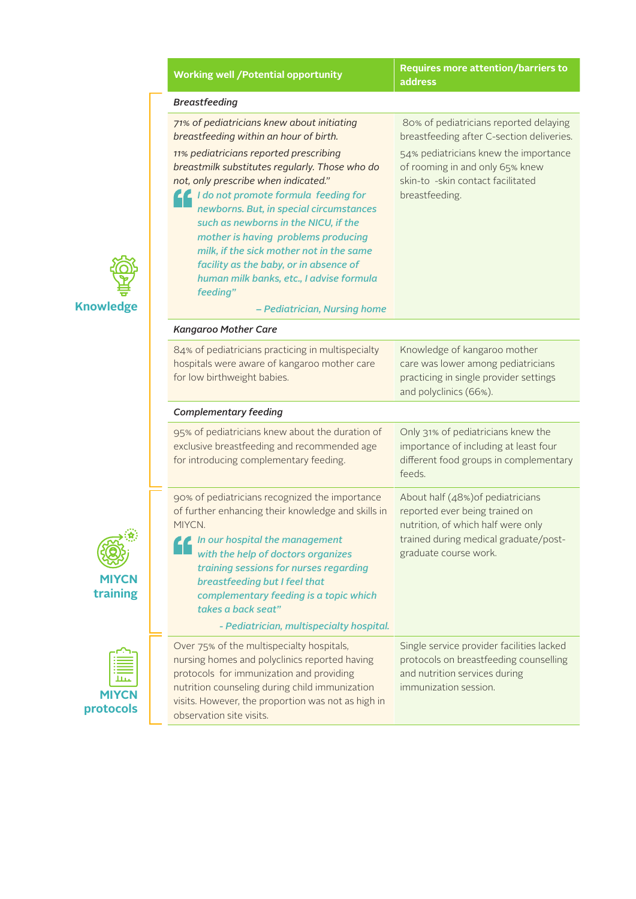|                                 | <b>Working well /Potential opportunity</b>                                                                                                                                                                                                                                                                                                                                                                                                                                         | <b>Requires more attention/barriers to</b><br>address                                                                                                                       |  |  |  |  |
|---------------------------------|------------------------------------------------------------------------------------------------------------------------------------------------------------------------------------------------------------------------------------------------------------------------------------------------------------------------------------------------------------------------------------------------------------------------------------------------------------------------------------|-----------------------------------------------------------------------------------------------------------------------------------------------------------------------------|--|--|--|--|
|                                 | <b>Breastfeeding</b>                                                                                                                                                                                                                                                                                                                                                                                                                                                               |                                                                                                                                                                             |  |  |  |  |
|                                 | 71% of pediatricians knew about initiating<br>breastfeeding within an hour of birth.                                                                                                                                                                                                                                                                                                                                                                                               | 80% of pediatricians reported delaying<br>breastfeeding after C-section deliveries.                                                                                         |  |  |  |  |
| lge                             | 11% pediatricians reported prescribing<br>breastmilk substitutes regularly. Those who do<br>not, only prescribe when indicated."<br>I I do not promote formula feeding for<br>newborns. But, in special circumstances<br>such as newborns in the NICU, if the<br>mother is having problems producing<br>milk, if the sick mother not in the same<br>facility as the baby, or in absence of<br>human milk banks, etc., I advise formula<br>feeding"<br>- Pediatrician, Nursing home | 54% pediatricians knew the importance<br>of rooming in and only 65% knew<br>skin-to -skin contact facilitated<br>breastfeeding.                                             |  |  |  |  |
|                                 | <b>Kangaroo Mother Care</b>                                                                                                                                                                                                                                                                                                                                                                                                                                                        |                                                                                                                                                                             |  |  |  |  |
|                                 | 84% of pediatricians practicing in multispecialty<br>hospitals were aware of kangaroo mother care<br>for low birthweight babies.                                                                                                                                                                                                                                                                                                                                                   | Knowledge of kangaroo mother<br>care was lower among pediatricians<br>practicing in single provider settings<br>and polyclinics (66%).                                      |  |  |  |  |
|                                 | <b>Complementary feeding</b>                                                                                                                                                                                                                                                                                                                                                                                                                                                       |                                                                                                                                                                             |  |  |  |  |
|                                 | 95% of pediatricians knew about the duration of<br>exclusive breastfeeding and recommended age<br>for introducing complementary feeding.                                                                                                                                                                                                                                                                                                                                           | Only 31% of pediatricians knew the<br>importance of including at least four<br>different food groups in complementary<br>feeds.                                             |  |  |  |  |
| $\overline{\mathsf{CN}}$<br>ing | 90% of pediatricians recognized the importance<br>of further enhancing their knowledge and skills in<br>MIYCN.<br>In our hospital the management<br>with the help of doctors organizes<br>training sessions for nurses regarding<br>breastfeeding but I feel that<br>complementary feeding is a topic which<br>takes a back seat"<br>- Pediatrician, multispecialty hospital.                                                                                                      | About half (48%) of pediatricians<br>reported ever being trained on<br>nutrition, of which half were only<br>trained during medical graduate/post-<br>graduate course work. |  |  |  |  |
| $\frac{11}{2}$<br>ols           | Over 75% of the multispecialty hospitals,<br>nursing homes and polyclinics reported having<br>protocols for immunization and providing<br>nutrition counseling during child immunization<br>visits. However, the proportion was not as high in<br>observation site visits.                                                                                                                                                                                                         | Single service provider facilities lacked<br>protocols on breastfeeding counselling<br>and nutrition services during<br>immunization session.                               |  |  |  |  |



**MIYC traini** 

**MIXC**<br>**MIXC** protoco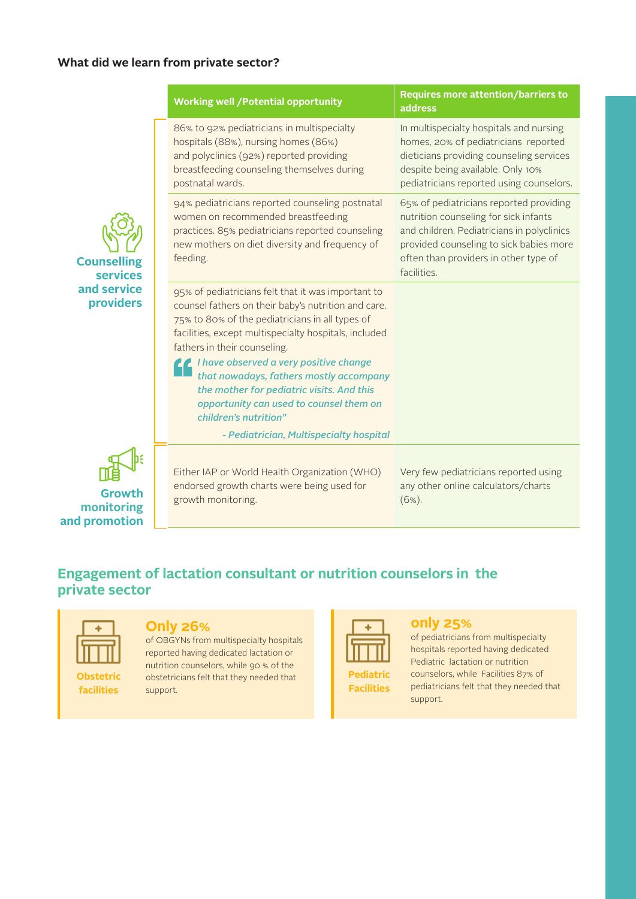#### **What did we learn from private sector?**

|                                              | <b>Working well /Potential opportunity</b>                                                                                                                                                                                                              | <b>Requires more attention/barriers to</b><br>address                                                                                                                                                                             |
|----------------------------------------------|---------------------------------------------------------------------------------------------------------------------------------------------------------------------------------------------------------------------------------------------------------|-----------------------------------------------------------------------------------------------------------------------------------------------------------------------------------------------------------------------------------|
|                                              | 86% to 92% pediatricians in multispecialty<br>hospitals (88%), nursing homes (86%)<br>and polyclinics (92%) reported providing<br>breastfeeding counseling themselves during<br>postnatal wards.                                                        | In multispecialty hospitals and nursing<br>homes, 20% of pediatricians reported<br>dieticians providing counseling services<br>despite being available. Only 10%<br>pediatricians reported using counselors.                      |
| <b>Counselling</b><br><b>services</b>        | 94% pediatricians reported counseling postnatal<br>women on recommended breastfeeding<br>practices. 85% pediatricians reported counseling<br>new mothers on diet diversity and frequency of<br>feeding.                                                 | 65% of pediatricians reported providing<br>nutrition counseling for sick infants<br>and children. Pediatricians in polyclinics<br>provided counseling to sick babies more<br>often than providers in other type of<br>facilities. |
| and service<br>providers                     | 95% of pediatricians felt that it was important to<br>counsel fathers on their baby's nutrition and care.<br>75% to 80% of the pediatricians in all types of<br>facilities, except multispecialty hospitals, included<br>fathers in their counseling.   |                                                                                                                                                                                                                                   |
|                                              | <i>Le I have observed a very positive change</i><br>that nowadays, fathers mostly accompany<br>the mother for pediatric visits. And this<br>opportunity can used to counsel them on<br>children's nutrition"<br>- Pediatrician, Multispecialty hospital |                                                                                                                                                                                                                                   |
| <b>Growth</b><br>monitoring<br>and promotion | Either IAP or World Health Organization (WHO)<br>endorsed growth charts were being used for<br>growth monitoring.                                                                                                                                       | Very few pediatricians reported using<br>any other online calculators/charts<br>$(6%)$ .                                                                                                                                          |

# **Engagement of lactation consultant or nutrition counselors in the private sector**

**facilities**

#### **Only 26%**

of OBGYNs from multispecialty hospitals reported having dedicated lactation or nutrition counselors, while 90 % of the obstetricians felt that they needed that support.

| Peo<br>١Ì<br>1a |
|-----------------|

**Facilities** 

#### **only 25%**

of pediatricians from multispecialty hospitals reported having dedicated Pediatric lactation or nutrition counselors, while Facilities 87% of pediatricians felt that they needed that support.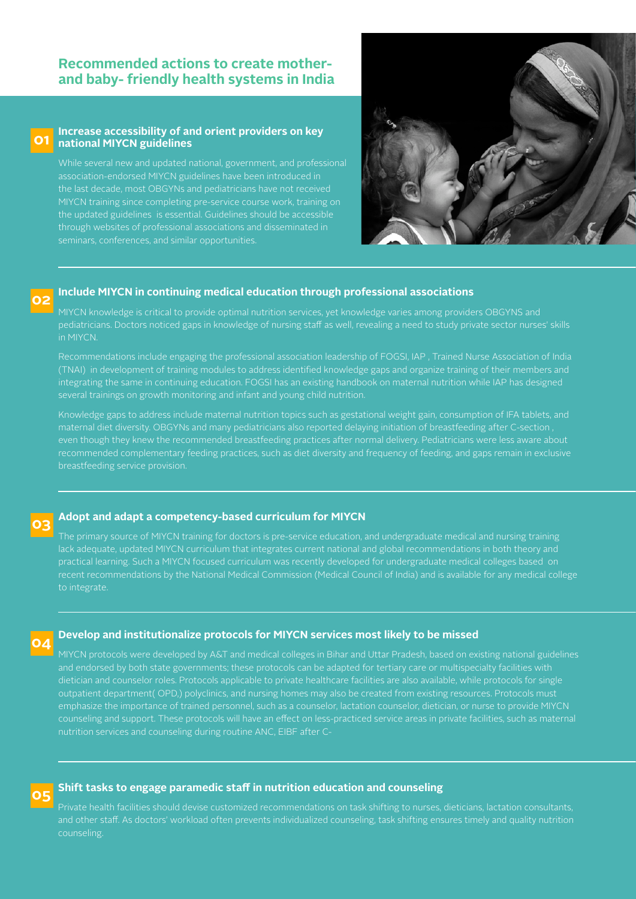#### **Recommended actions to create motherand baby- friendly health systems in India**

#### **Increase accessibility of and orient providers on key national MIYCN guidelines 01**

While several new and updated national, government, and professional association-endorsed MIYCN guidelines have been introduced in the last decade, most OBGYNs and pediatricians have not received MIYCN training since completing pre-service course work, training on the updated guidelines is essential. Guidelines should be accessible through websites of professional associations and disseminated in seminars, conferences, and similar opportunities.



#### **Include MIYCN in continuing medical education through professional associations 02**

MIYCN knowledge is critical to provide optimal nutrition services, yet knowledge varies among providers OBGYNS and pediatricians. Doctors noticed gaps in knowledge of nursing staff as well, revealing a need to study private sector nurses' skills in MIYCN.

Recommendations include engaging the professional association leadership of FOGSI, IAP , Trained Nurse Association of India (TNAI) in development of training modules to address identified knowledge gaps and organize training of their members and integrating the same in continuing education. FOGSI has an existing handbook on maternal nutrition while IAP has designed several trainings on growth monitoring and infant and young child nutrition.

Knowledge gaps to address include maternal nutrition topics such as gestational weight gain, consumption of IFA tablets, and maternal diet diversity. OBGYNs and many pediatricians also reported delaying initiation of breastfeeding after C-section , even though they knew the recommended breastfeeding practices after normal delivery. Pediatricians were less aware about recommended complementary feeding practices, such as diet diversity and frequency of feeding, and gaps remain in exclusive breastfeeding service provision.

#### **Adopt and adapt a competency-based curriculum for MIYCN**

**03**

**05**

The primary source of MIYCN training for doctors is pre-service education, and undergraduate medical and nursing training lack adequate, updated MIYCN curriculum that integrates current national and global recommendations in both theory and practical learning. Such a MIYCN focused curriculum was recently developed for undergraduate medical colleges based on recent recommendations by the National Medical Commission (Medical Council of India) and is available for any medical college to integrate.

#### **04 Develop and institutionalize protocols for MIYCN services most likely to be missed**

MIYCN protocols were developed by A&T and medical colleges in Bihar and Uttar Pradesh, based on existing national guidelines and endorsed by both state governments; these protocols can be adapted for tertiary care or multispecialty facilities with dietician and counselor roles. Protocols applicable to private healthcare facilities are also available, while protocols for single outpatient department( OPD,) polyclinics, and nursing homes may also be created from existing resources. Protocols must counseling and support. These protocols will have an effect on less-practiced service areas in private facilities, such as maternal nutrition services and counseling during routine ANC, EIBF after C-

#### **Shift tasks to engage paramedic staff in nutrition education and counseling**

Private health facilities should devise customized recommendations on task shifting to nurses, dieticians, lactation consultants, and other staff. As doctors' workload often prevents individualized counseling, task shifting ensures timely and quality nutrition counseling.